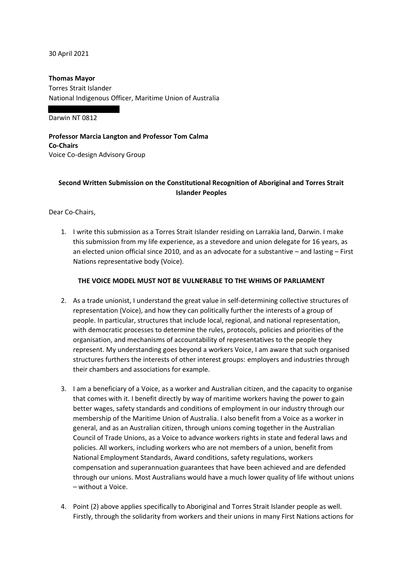30 April 2021

**Thomas Mayor**  Torres Strait Islander National Indigenous Officer, Maritime Union of Australia

Darwin NT 0812

**Professor Marcia Langton and Professor Tom Calma Co-Chairs**  Voice Co-design Advisory Group

# **Second Written Submission on the Constitutional Recognition of Aboriginal and Torres Strait Islander Peoples**

Dear Co-Chairs,

1. I write this submission as a Torres Strait Islander residing on Larrakia land, Darwin. I make this submission from my life experience, as a stevedore and union delegate for 16 years, as an elected union official since 2010, and as an advocate for a substantive – and lasting – First Nations representative body (Voice).

### **THE VOICE MODEL MUST NOT BE VULNERABLE TO THE WHIMS OF PARLIAMENT**

- 2. As a trade unionist, I understand the great value in self-determining collective structures of representation (Voice), and how they can politically further the interests of a group of people. In particular, structures that include local, regional, and national representation, with democratic processes to determine the rules, protocols, policies and priorities of the organisation, and mechanisms of accountability of representatives to the people they represent. My understanding goes beyond a workers Voice, I am aware that such organised structures furthers the interests of other interest groups: employers and industries through their chambers and associations for example.
- 3. I am a beneficiary of a Voice, as a worker and Australian citizen, and the capacity to organise that comes with it. I benefit directly by way of maritime workers having the power to gain better wages, safety standards and conditions of employment in our industry through our membership of the Maritime Union of Australia. I also benefit from a Voice as a worker in general, and as an Australian citizen, through unions coming together in the Australian Council of Trade Unions, as a Voice to advance workers rights in state and federal laws and policies. All workers, including workers who are not members of a union, benefit from National Employment Standards, Award conditions, safety regulations, workers compensation and superannuation guarantees that have been achieved and are defended through our unions. Most Australians would have a much lower quality of life without unions – without a Voice.
- 4. Point (2) above applies specifically to Aboriginal and Torres Strait Islander people as well. Firstly, through the solidarity from workers and their unions in many First Nations actions for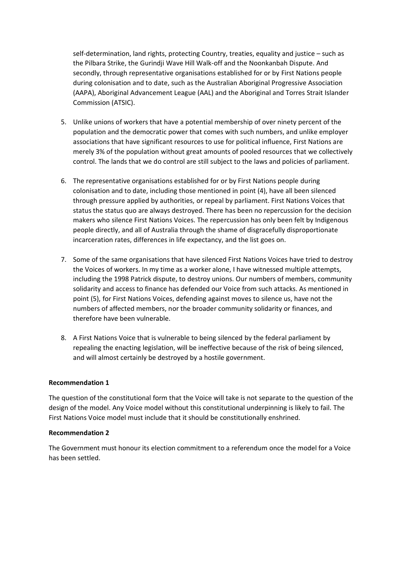self-determination, land rights, protecting Country, treaties, equality and justice – such as the Pilbara Strike, the Gurindji Wave Hill Walk-off and the Noonkanbah Dispute. And secondly, through representative organisations established for or by First Nations people during colonisation and to date, such as the Australian Aboriginal Progressive Association (AAPA), Aboriginal Advancement League (AAL) and the Aboriginal and Torres Strait Islander Commission (ATSIC).

- 5. Unlike unions of workers that have a potential membership of over ninety percent of the population and the democratic power that comes with such numbers, and unlike employer associations that have significant resources to use for political influence, First Nations are merely 3% of the population without great amounts of pooled resources that we collectively control. The lands that we do control are still subject to the laws and policies of parliament.
- 6. The representative organisations established for or by First Nations people during colonisation and to date, including those mentioned in point (4), have all been silenced through pressure applied by authorities, or repeal by parliament. First Nations Voices that status the status quo are always destroyed. There has been no repercussion for the decision makers who silence First Nations Voices. The repercussion has only been felt by Indigenous people directly, and all of Australia through the shame of disgracefully disproportionate incarceration rates, differences in life expectancy, and the list goes on.
- 7. Some of the same organisations that have silenced First Nations Voices have tried to destroy the Voices of workers. In my time as a worker alone, I have witnessed multiple attempts, including the 1998 Patrick dispute, to destroy unions. Our numbers of members, community solidarity and access to finance has defended our Voice from such attacks. As mentioned in point (5), for First Nations Voices, defending against moves to silence us, have not the numbers of affected members, nor the broader community solidarity or finances, and therefore have been vulnerable.
- 8. A First Nations Voice that is vulnerable to being silenced by the federal parliament by repealing the enacting legislation, will be ineffective because of the risk of being silenced, and will almost certainly be destroyed by a hostile government.

### **Recommendation 1**

The question of the constitutional form that the Voice will take is not separate to the question of the design of the model. Any Voice model without this constitutional underpinning is likely to fail. The First Nations Voice model must include that it should be constitutionally enshrined.

#### **Recommendation 2**

The Government must honour its election commitment to a referendum once the model for a Voice has been settled.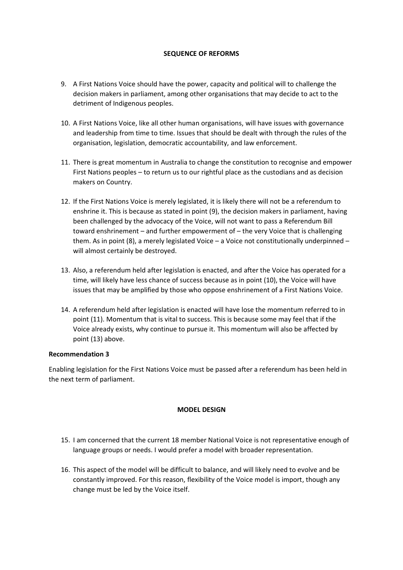## **SEQUENCE OF REFORMS**

- 9. A First Nations Voice should have the power, capacity and political will to challenge the decision makers in parliament, among other organisations that may decide to act to the detriment of Indigenous peoples.
- 10. A First Nations Voice, like all other human organisations, will have issues with governance and leadership from time to time. Issues that should be dealt with through the rules of the organisation, legislation, democratic accountability, and law enforcement.
- 11. There is great momentum in Australia to change the constitution to recognise and empower First Nations peoples – to return us to our rightful place as the custodians and as decision makers on Country.
- 12. If the First Nations Voice is merely legislated, it is likely there will not be a referendum to enshrine it. This is because as stated in point (9), the decision makers in parliament, having been challenged by the advocacy of the Voice, will not want to pass a Referendum Bill toward enshrinement – and further empowerment of – the very Voice that is challenging them. As in point (8), a merely legislated Voice – a Voice not constitutionally underpinned – will almost certainly be destroyed.
- 13. Also, a referendum held after legislation is enacted, and after the Voice has operated for a time, will likely have less chance of success because as in point (10), the Voice will have issues that may be amplified by those who oppose enshrinement of a First Nations Voice.
- 14. A referendum held after legislation is enacted will have lose the momentum referred to in point (11). Momentum that is vital to success. This is because some may feel that if the Voice already exists, why continue to pursue it. This momentum will also be affected by point (13) above.

### **Recommendation 3**

Enabling legislation for the First Nations Voice must be passed after a referendum has been held in the next term of parliament.

### **MODEL DESIGN**

- 15. I am concerned that the current 18 member National Voice is not representative enough of language groups or needs. I would prefer a model with broader representation.
- 16. This aspect of the model will be difficult to balance, and will likely need to evolve and be constantly improved. For this reason, flexibility of the Voice model is import, though any change must be led by the Voice itself.